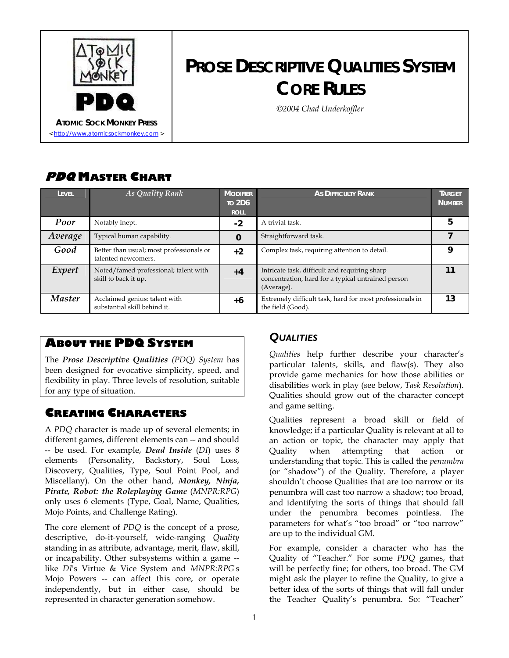

# **PROSE DESCRIPTIVE QUALITIES SYSTEM CORE RULES**

*©2004 Chad Underkoffler* 

### **PDQ MASTER CHART**

| LEVEL         | As Quality Rank                                                 | <b>MODIFIER</b><br><b>TO 2D6</b><br><b>ROLL</b> | <b>As DIFFICULTY RANK</b>                                                                                         | <b>TARGET</b><br><b>NUMBER</b> |
|---------------|-----------------------------------------------------------------|-------------------------------------------------|-------------------------------------------------------------------------------------------------------------------|--------------------------------|
| Poor          | Notably Inept.                                                  | $-2$                                            | A trivial task.                                                                                                   | 5                              |
| Average       | Typical human capability.                                       | $\bf{0}$                                        | Straightforward task.                                                                                             |                                |
| Good          | Better than usual; most professionals or<br>talented newcomers. | $+2$                                            | Complex task, requiring attention to detail.                                                                      | Q                              |
| Expert        | Noted/famed professional; talent with<br>skill to back it up.   | $+4$                                            | Intricate task, difficult and requiring sharp<br>concentration, hard for a typical untrained person<br>(Average). | 11                             |
| <b>Master</b> | Acclaimed genius: talent with<br>substantial skill behind it.   | $+6$                                            | Extremely difficult task, hard for most professionals in<br>the field (Good).                                     | 13                             |

## *QUALITIES* **ABOUT THE PDQ SYSTEM**

The *Prose Descriptive Qualities (PDQ) System* has been designed for evocative simplicity, speed, and flexibility in play. Three levels of resolution, suitable for any type of situation.

A *PDQ* character is made up of several elements; in different games, different elements can -- and should -- be used. For example, *Dead Inside* (*DI*) uses 8 elements (Personality, Backstory, Soul Loss, Discovery, Qualities, Type, Soul Point Pool, and Miscellany). On the other hand, *Monkey, Ninja, Pirate, Robot: the Roleplaying Game* (*MNPR:RPG*) only uses 6 elements (Type, Goal, Name, Qualities, Mojo Points, and Challenge Rating).

The core element of *PDQ* is the concept of a prose, descriptive, do-it-yourself, wide-ranging *Quality* standing in as attribute, advantage, merit, flaw, skill, or incapability. Other subsystems within a game - like *DI*'s Virtue & Vice System and *MNPR:RPG*'s Mojo Powers -- can affect this core, or operate independently, but in either case, should be represented in character generation somehow.

*Qualities* help further describe your character's particular talents, skills, and flaw(s). They also provide game mechanics for how those abilities or disabilities work in play (see below, *Task Resolution*). Qualities should grow out of the character concept and game setting.

**CREATING CHARACTERS**<br>Qualities represent a broad skill or field of knowledge; if a particular Quality is relevant at all to an action or topic, the character may apply that Quality when attempting that action or understanding that topic. This is called the *penumbra* (or "shadow") of the Quality. Therefore, a player shouldn't choose Qualities that are too narrow or its penumbra will cast too narrow a shadow; too broad, and identifying the sorts of things that should fall under the penumbra becomes pointless. The parameters for what's "too broad" or "too narrow" are up to the individual GM.

> For example, consider a character who has the Quality of "Teacher." For some *PDQ* games, that will be perfectly fine; for others, too broad. The GM might ask the player to refine the Quality, to give a better idea of the sorts of things that will fall under the Teacher Quality's penumbra. So: "Teacher"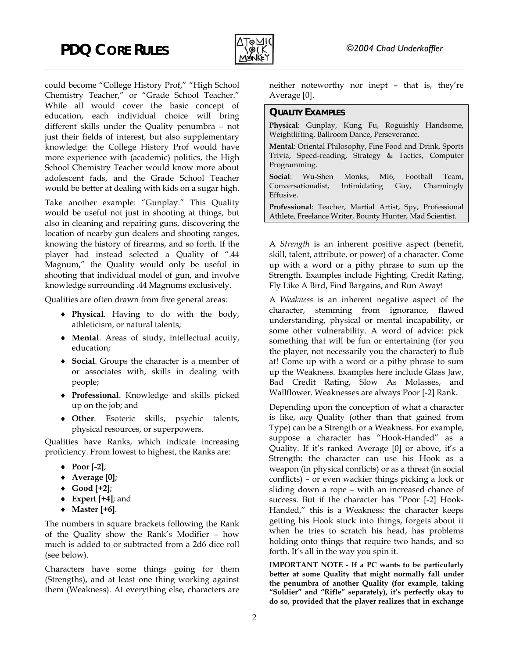

could become "College History Prof," "High School Chemistry Teacher," or "Grade School Teacher." While all would cover the basic concept of education, each individual choice will bring different skills under the Quality penumbra – not just their fields of interest, but also supplementary knowledge: the College History Prof would have more experience with (academic) politics, the High School Chemistry Teacher would know more about adolescent fads, and the Grade School Teacher would be better at dealing with kids on a sugar high.

Take another example: "Gunplay." This Quality would be useful not just in shooting at things, but also in cleaning and repairing guns, discovering the location of nearby gun dealers and shooting ranges, knowing the history of firearms, and so forth. If the player had instead selected a Quality of ".44 Magnum," the Quality would only be useful in shooting that individual model of gun, and involve knowledge surrounding .44 Magnums exclusively.

Qualities are often drawn from five general areas:

- ♦ **Physical**. Having to do with the body, athleticism, or natural talents;
- ♦ **Mental**. Areas of study, intellectual acuity, education;
- ♦ **Social**. Groups the character is a member of or associates with, skills in dealing with people;
- ♦ **Professional**. Knowledge and skills picked up on the job; and
- ♦ **Other**. Esoteric skills, psychic talents, physical resources, or superpowers.

Qualities have Ranks, which indicate increasing proficiency. From lowest to highest, the Ranks are:

- ♦ **Poor [-2]**;
- ♦ **Average [0]**;
- ♦ **Good [+2]**;
- ♦ **Expert [+4]**; and
- ♦ **Master [+6]**.

The numbers in square brackets following the Rank of the Quality show the Rank's Modifier – how much is added to or subtracted from a 2d6 dice roll (see below).

Characters have some things going for them (Strengths), and at least one thing working against them (Weakness). At everything else, characters are neither noteworthy nor inept – that is, they're Average [0].

#### **QUALITY EXAMPLES**

**Physical**: Gunplay, Kung Fu, Roguishly Handsome, Weightlifting, Ballroom Dance, Perseverance.

**Mental**: Oriental Philosophy, Fine Food and Drink, Sports Trivia, Speed-reading, Strategy & Tactics, Computer Programming.

**Social**: Wu-Shen Monks, MI6, Football Team, Conversationalist, Intimidating Guy, Charmingly Effusive.

**Professional**: Teacher, Martial Artist, Spy, Professional Athlete, Freelance Writer, Bounty Hunter, Mad Scientist.

A *Strength* is an inherent positive aspect (benefit, skill, talent, attribute, or power) of a character. Come up with a word or a pithy phrase to sum up the Strength. Examples include Fighting, Credit Rating, Fly Like A Bird, Find Bargains, and Run Away!

A *Weakness* is an inherent negative aspect of the character, stemming from ignorance, flawed understanding, physical or mental incapability, or some other vulnerability. A word of advice: pick something that will be fun or entertaining (for you the player, not necessarily you the character) to flub at! Come up with a word or a pithy phrase to sum up the Weakness. Examples here include Glass Jaw, Bad Credit Rating, Slow As Molasses, and Wallflower. Weaknesses are always Poor [-2] Rank.

Depending upon the conception of what a character is like, *any* Quality (other than that gained from Type) can be a Strength or a Weakness. For example, suppose a character has "Hook-Handed" as a Quality. If it's ranked Average [0] or above, it's a Strength: the character can use his Hook as a weapon (in physical conflicts) or as a threat (in social conflicts) – or even wackier things picking a lock or sliding down a rope – with an increased chance of success. But if the character has "Poor [-2] Hook-Handed," this is a Weakness: the character keeps getting his Hook stuck into things, forgets about it when he tries to scratch his head, has problems holding onto things that require two hands, and so forth. It's all in the way you spin it.

**IMPORTANT NOTE - If a PC wants to be particularly better at some Quality that might normally fall under the penumbra of another Quality (for example, taking "Soldier" and "Rifle" separately), it's perfectly okay to do so, provided that the player realizes that in exchange**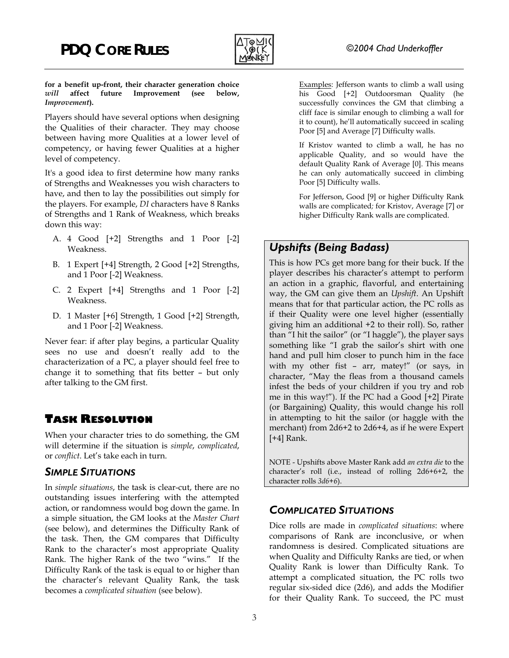

**for a benefit up-front, their character generation choice** *will* **affect future Improvement (see below,** *Improvement***).** 

Players should have several options when designing the Qualities of their character. They may choose between having more Qualities at a lower level of competency, or having fewer Qualities at a higher level of competency.

It's a good idea to first determine how many ranks of Strengths and Weaknesses you wish characters to have, and then to lay the possibilities out simply for the players. For example, *DI* characters have 8 Ranks of Strengths and 1 Rank of Weakness, which breaks down this way:

- A. 4 Good [+2] Strengths and 1 Poor [-2] Weakness. *Upshifts (Being Badass)*
- B. 1 Expert [+4] Strength, 2 Good [+2] Strengths, and 1 Poor [-2] Weakness.
- C. 2 Expert [+4] Strengths and 1 Poor [-2] Weakness.
- D. 1 Master [+6] Strength, 1 Good [+2] Strength, and 1 Poor [-2] Weakness.

Never fear: if after play begins, a particular Quality sees no use and doesn't really add to the characterization of a PC, a player should feel free to change it to something that fits better – but only after talking to the GM first.

### **TASK RESOLUTION**

When your character tries to do something, the GM will determine if the situation is *simple*, *complicated*, or *conflict*. Let's take each in turn.

#### *SIMPLE SITUATIONS*

In *simple situations*, the task is clear-cut, there are no outstanding issues interfering with the attempted action, or randomness would bog down the game. In a simple situation, the GM looks at the *Master Chart* (see below), and determines the Difficulty Rank of the task. Then, the GM compares that Difficulty Rank to the character's most appropriate Quality Rank. The higher Rank of the two "wins." If the Difficulty Rank of the task is equal to or higher than the character's relevant Quality Rank, the task becomes a *complicated situation* (see below).

Examples: Jefferson wants to climb a wall using his Good [+2] Outdoorsman Quality (he successfully convinces the GM that climbing a cliff face is similar enough to climbing a wall for it to count), he'll automatically succeed in scaling Poor [5] and Average [7] Difficulty walls.

If Kristov wanted to climb a wall, he has no applicable Quality, and so would have the default Quality Rank of Average [0]. This means he can only automatically succeed in climbing Poor [5] Difficulty walls.

For Jefferson, Good [9] or higher Difficulty Rank walls are complicated*;* for Kristov, Average [7] or higher Difficulty Rank walls are complicated.

This is how PCs get more bang for their buck. If the player describes his character's attempt to perform an action in a graphic, flavorful, and entertaining way, the GM can give them an *Upshift*. An Upshift means that for that particular action, the PC rolls as if their Quality were one level higher (essentially giving him an additional +2 to their roll). So, rather than "I hit the sailor" (or "I haggle"), the player says something like "I grab the sailor's shirt with one hand and pull him closer to punch him in the face with my other fist – arr, matey!" (or says, in character, "May the fleas from a thousand camels infest the beds of your children if you try and rob me in this way!"). If the PC had a Good [+2] Pirate (or Bargaining) Quality, this would change his roll in attempting to hit the sailor (or haggle with the merchant) from 2d6+2 to 2d6+4, as if he were Expert [+4] Rank.

NOTE - Upshifts above Master Rank add *an extra die* to the character's roll (i.e., instead of rolling 2d6+6+2, the character rolls *3d6+6*).

### *COMPLICATED SITUATIONS*

Dice rolls are made in *complicated situations*: where comparisons of Rank are inconclusive, or when randomness is desired. Complicated situations are when Quality and Difficulty Ranks are tied, or when Quality Rank is lower than Difficulty Rank. To attempt a complicated situation, the PC rolls two regular six-sided dice (2d6), and adds the Modifier for their Quality Rank. To succeed, the PC must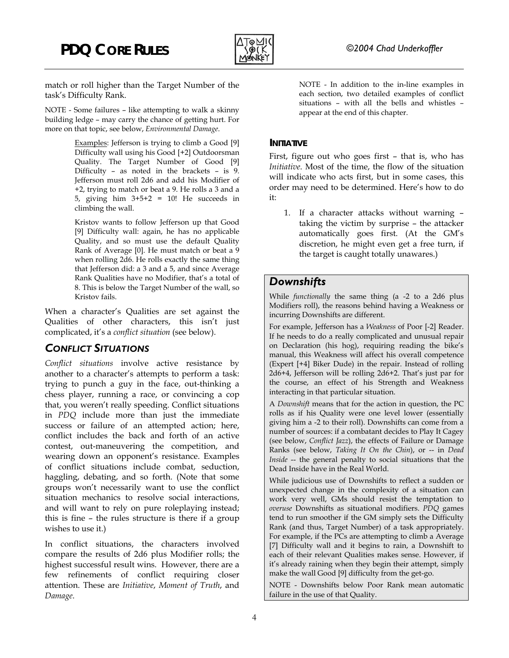## **PDQ CORE RULES** *©2004 Chad Underkoffler*



match or roll higher than the Target Number of the task's Difficulty Rank.

NOTE - Some failures – like attempting to walk a skinny appear at the end of this chapter. building ledge – may carry the chance of getting hurt. For more on that topic, see below, *Environmental Damage*.

Examples: Jefferson is trying to climb a Good [9] **INITIATIVE** Difficulty wall using his Good [+2] Outdoorsman Quality. The Target Number of Good [9] Difficulty – as noted in the brackets – is 9. Jefferson must roll 2d6 and add his Modifier of +2, trying to match or beat a 9. He rolls a 3 and a 5, giving him  $3+5+2 = 10!$  He succeeds in climbing the wall.

Kristov wants to follow Jefferson up that Good [9] Difficulty wall: again, he has no applicable Quality, and so must use the default Quality Rank of Average [0]. He must match or beat a 9 when rolling 2d6. He rolls exactly the same thing that Jefferson did: a 3 and a 5, and since Average Rank Qualities have no Modifier, that's a total of 8. This is below the Target Number of the wall, so Kristov fails.

Qualities of other characters, this isn't just complicated, it's a *conflict situation* (see below). For example, Jefferson has a *Weakness* of Poor [-2] Reader.

### *CONFLICT SITUATIONS*

*Conflict situations* involve active resistance by another to a character's attempts to perform a task: trying to punch a guy in the face, out-thinking a chess player, running a race, or convincing a cop that, you weren't really speeding. Conflict situations in *PDQ* include more than just the immediate success or failure of an attempted action; here, conflict includes the back and forth of an active contest, out-maneuvering the competition, and wearing down an opponent's resistance. Examples of conflict situations include combat, seduction, haggling, debating, and so forth. (Note that some groups won't necessarily want to use the conflict situation mechanics to resolve social interactions, and will want to rely on pure roleplaying instead; this is fine – the rules structure is there if a group wishes to use it.)

In conflict situations, the characters involved compare the results of 2d6 plus Modifier rolls; the highest successful result wins. However, there are a few refinements of conflict requiring closer attention. These are *Initiative*, *Moment of Truth*, and *Damage*.

NOTE - In addition to the in-line examples in each section, two detailed examples of conflict situations – with all the bells and whistles –

First, figure out who goes first – that is, who has *Initiative*. Most of the time, the flow of the situation will indicate who acts first, but in some cases, this order may need to be determined. Here's how to do it:

1. If a character attacks without warning – taking the victim by surprise – the attacker automatically goes first. (At the GM's discretion, he might even get a free turn, if the target is caught totally unawares.)

### *Downshifts*

While *functionally* the same thing (a -2 to a 2d6 plus When a character's Qualities are set against the Modifiers roll), the reasons behind having a Weakness or incurring Downshifts are different.

> If he needs to do a really complicated and unusual repair on Declaration (his hog), requiring reading the bike's manual, this Weakness will affect his overall competence (Expert [+4] Biker Dude) in the repair. Instead of rolling 2d6+4, Jefferson will be rolling 2d6+2. That's just par for the course, an effect of his Strength and Weakness interacting in that particular situation.

> A *Downshift* means that for the action in question, the PC rolls as if his Quality were one level lower (essentially giving him a -2 to their roll). Downshifts can come from a number of sources: if a combatant decides to Play It Cagey (see below, *Conflict Jazz*), the effects of Failure or Damage Ranks (see below, *Taking It On the Chin*), or -- in *Dead Inside* -- the general penalty to social situations that the Dead Inside have in the Real World.

> While judicious use of Downshifts to reflect a sudden or unexpected change in the complexity of a situation can work very well, GMs should resist the temptation to *overuse* Downshifts as situational modifiers. *PDQ* games tend to run smoother if the GM simply sets the Difficulty Rank (and thus, Target Number) of a task appropriately. For example, if the PCs are attempting to climb a Average [7] Difficulty wall and it begins to rain, a Downshift to each of their relevant Qualities makes sense. However, if it's already raining when they begin their attempt, simply make the wall Good [9] difficulty from the get-go.

> NOTE - Downshifts below Poor Rank mean automatic failure in the use of that Quality.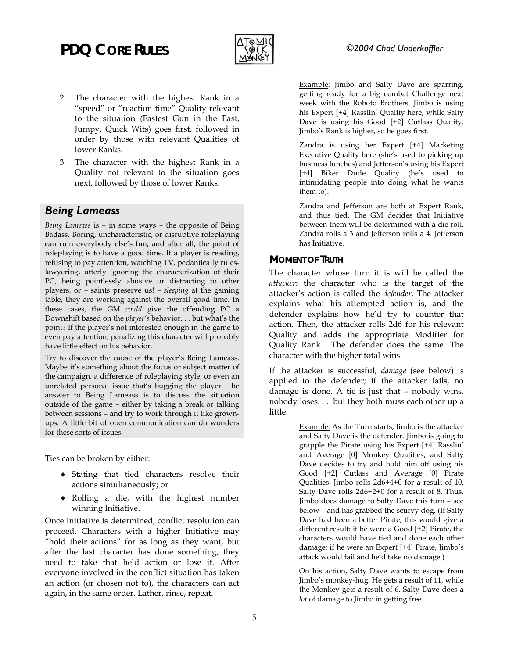

- 2. The character with the highest Rank in a "speed" or "reaction time" Quality relevant to the situation (Fastest Gun in the East, Jumpy, Quick Wits) goes first, followed in order by those with relevant Qualities of lower Ranks. Zandra is using her Expert [+4] Marketing
- 3. The character with the highest Rank in a Quality not relevant to the situation goes next, followed by those of lower Ranks.

#### *Being Lameass*

*Being Lameass* is – in some ways – the opposite of Being Badass. Boring, uncharacteristic, or disruptive roleplaying can ruin everybody else's fun, and after all, the point of roleplaying is to have a good time. If a player is reading, refusing to pay attention, watching TV, pedantically ruleslawyering, utterly ignoring the characterization of their PC, being pointlessly abusive or distracting to other players, or – saints preserve us! – *sleeping* at the gaming table, they are working against the overall good time. In these cases, the GM *could* give the offending PC a Downshift based on the *player's* behavior. . . but what's the point? If the player's not interested enough in the game to even pay attention, penalizing this character will probably have little effect on his behavior.

Try to discover the cause of the player's Being Lameass. character with the higher total wins. Maybe it's something about the focus or subject matter of the campaign, a difference of roleplaying style, or even an unrelated personal issue that's bugging the player. The answer to Being Lameass is to discuss the situation outside of the game – either by taking a break or talking between sessions – and try to work through it like grownups. A little bit of open communication can do wonders for these sorts of issues.

Ties can be broken by either:

- Stating that tied characters resolve their ♦ actions simultaneously; or
- ♦ Rolling a die, with the highest number winning Initiative.

Once Initiative is determined, conflict resolution can proceed. Characters with a higher Initiative may "hold their actions" for as long as they want, but after the last character has done something, they need to take that held action or lose it. After everyone involved in the conflict situation has taken an action (or chosen not to), the characters can act again, in the same order. Lather, rinse, repeat.

Example: Jimbo and Salty Dave are sparring, getting ready for a big combat Challenge next week with the Roboto Brothers. Jimbo is using his Expert [+4] Rasslin' Quality here, while Salty Dave is using his Good [+2] Cutlass Quality. Jimbo's Rank is higher, so he goes first.

Executive Quality here (she's used to picking up business lunches) and Jefferson's using his Expert [+4] Biker Dude Quality (he's used to intimidating people into doing what he wants them to).

Zandra and Jefferson are both at Expert Rank, and thus tied. The GM decides that Initiative between them will be determined with a die roll. Zandra rolls a 3 and Jefferson rolls a 4. Jefferson has Initiative.

#### **MOMENT OF TRUTH**

The character whose turn it is will be called the *attacker*; the character who is the target of the attacker's action is called the *defender*. The attacker explains what his attempted action is, and the defender explains how he'd try to counter that action. Then, the attacker rolls 2d6 for his relevant Quality and adds the appropriate Modifier for Quality Rank. The defender does the same. The

If the attacker is successful, *damage* (see below) is applied to the defender; if the attacker fails, no damage is done. A tie is just that – nobody wins, nobody loses. . . but they both muss each other up a little.

> Example: As the Turn starts, Jimbo is the attacker and Salty Dave is the defender. Jimbo is going to grapple the Pirate using his Expert [+4] Rasslin' and Average [0] Monkey Qualities, and Salty Dave decides to try and hold him off using his Good [+2] Cutlass and Average [0] Pirate Qualities. Jimbo rolls 2d6+4+0 for a result of 10, Salty Dave rolls 2d6+2+0 for a result of 8. Thus, Jimbo does damage to Salty Dave this turn – see below – and has grabbed the scurvy dog. (If Salty Dave had been a better Pirate, this would give a different result: if he were a Good [+2] Pirate, the characters would have tied and done each other damage; if he were an Expert [+4] Pirate, Jimbo's attack would fail and he'd take no damage.)

> On his action, Salty Dave wants to escape from Jimbo's monkey-hug. He gets a result of 11, while the Monkey gets a result of 6. Salty Dave does a *lot* of damage to Jimbo in getting free.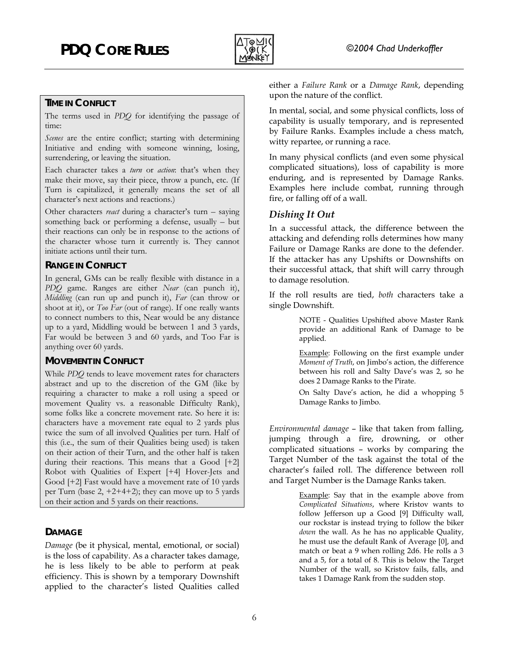

#### **TIME IN CONFLICT**

The terms used in *PDQ* for identifying the passage of time:

*Scenes* are the entire conflict; starting with determining Initiative and ending with someone winning, losing, surrendering, or leaving the situation.

Each character takes a *turn* or *action*: that's when they make their move, say their piece, throw a punch, etc. (If Turn is capitalized, it generally means the set of all character's next actions and reactions.)

Other characters *react* during a character's turn – saying something back or performing a defense, usually – but their reactions can only be in response to the actions of the character whose turn it currently is. They cannot initiate actions until their turn.

#### **RANGE IN CONFLICT**

In general, GMs can be really flexible with distance in a *PDQ* game. Ranges are either *Near* (can punch it), *Middling* (can run up and punch it), *Far* (can throw or shoot at it), or *Too Far* (out of range). If one really wants to connect numbers to this, Near would be any distance up to a yard, Middling would be between 1 and 3 yards, Far would be between 3 and 60 yards, and Too Far is anything over 60 yards.

#### **MOVEMENT IN CONFLICT**

While *PDQ* tends to leave movement rates for characters abstract and up to the discretion of the GM (like by requiring a character to make a roll using a speed or movement Quality vs. a reasonable Difficulty Rank), some folks like a concrete movement rate. So here it is: characters have a movement rate equal to 2 yards plus twice the sum of all involved Qualities per turn. Half of this (i.e., the sum of their Qualities being used) is taken on their action of their Turn, and the other half is taken during their reactions. This means that a Good [+2] Robot with Qualities of Expert [+4] Hover-Jets and Good [+2] Fast would have a movement rate of 10 yards per Turn (base  $2, +2+4+2$ ); they can move up to 5 yards on their action and 5 yards on their reactions.

#### **DAMAGE**

*Damage* (be it physical, mental, emotional, or social) is the loss of capability. As a character takes damage, he is less likely to be able to perform at peak efficiency. This is shown by a temporary Downshift applied to the character's listed Qualities called either a *Failure Rank* or a *Damage Rank*, depending upon the nature of the conflict.

In mental, social, and some physical conflicts, loss of capability is usually temporary, and is represented by Failure Ranks. Examples include a chess match, witty repartee, or running a race.

In many physical conflicts (and even some physical complicated situations), loss of capability is more enduring, and is represented by Damage Ranks. Examples here include combat, running through fire, or falling off of a wall.

#### *Dishing It Out*

In a successful attack, the difference between the attacking and defending rolls determines how many Failure or Damage Ranks are done to the defender. If the attacker has any Upshifts or Downshifts on their successful attack, that shift will carry through to damage resolution.

If the roll results are tied, *both* characters take a single Downshift.

> NOTE - Qualities Upshifted above Master Rank provide an additional Rank of Damage to be applied.

> Example: Following on the first example under *Moment of Truth*, on Jimbo's action, the difference between his roll and Salty Dave's was 2, so he does 2 Damage Ranks to the Pirate.

> On Salty Dave's action, he did a whopping 5 Damage Ranks to Jimbo.

*Environmental damage* – like that taken from falling, jumping through a fire, drowning, or other complicated situations – works by comparing the Target Number of the task against the total of the character's failed roll. The difference between roll and Target Number is the Damage Ranks taken.

> Example: Say that in the example above from *Complicated Situations*, where Kristov wants to follow Jefferson up a Good [9] Difficulty wall, our rockstar is instead trying to follow the biker *down* the wall. As he has no applicable Quality, he must use the default Rank of Average [0], and match or beat a 9 when rolling 2d6. He rolls a 3 and a 5, for a total of 8. This is below the Target Number of the wall, so Kristov fails, falls, and takes 1 Damage Rank from the sudden stop.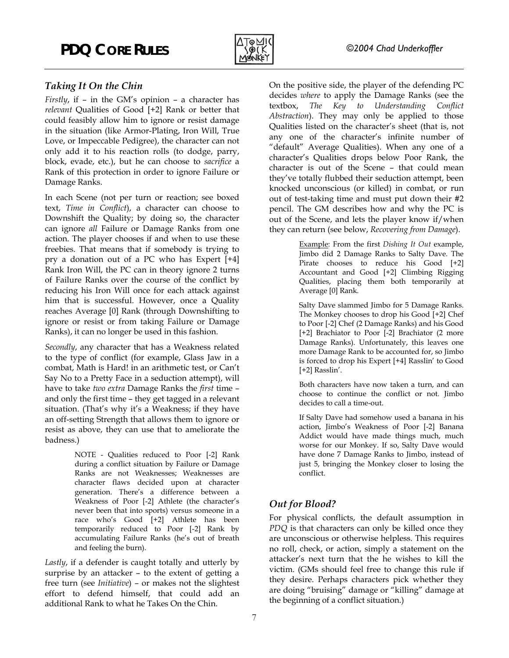

*Firstly*, if – in the GM's opinion – a character has *relevant* Qualities of Good [+2] Rank or better that could feasibly allow him to ignore or resist damage in the situation (like Armor-Plating, Iron Will, True Love, or Impeccable Pedigree), the character can not only add it to his reaction rolls (to dodge, parry, block, evade, etc.), but he can choose to *sacrifice* a Rank of this protection in order to ignore Failure or Damage Ranks.

In each Scene (not per turn or reaction; see boxed text, *Time in Conflict*), a character can choose to Downshift the Quality; by doing so, the character can ignore *all* Failure or Damage Ranks from one action. The player chooses if and when to use these freebies. That means that if somebody is trying to pry a donation out of a PC who has Expert [+4] Rank Iron Will, the PC can in theory ignore 2 turns of Failure Ranks over the course of the conflict by reducing his Iron Will once for each attack against him that is successful. However, once a Quality reaches Average [0] Rank (through Downshifting to ignore or resist or from taking Failure or Damage Ranks), it can no longer be used in this fashion.

*Secondly*, any character that has a Weakness related to the type of conflict (for example, Glass Jaw in a combat, Math is Hard! in an arithmetic test, or Can't Say No to a Pretty Face in a seduction attempt), will have to take *two extra* Damage Ranks the *first* time – and only the first time – they get tagged in a relevant situation. (That's why it's a Weakness; if they have an off-setting Strength that allows them to ignore or resist as above, they can use that to ameliorate the badness.)

> NOTE - Qualities reduced to Poor [-2] Rank during a conflict situation by Failure or Damage Ranks are not Weaknesses; Weaknesses are character flaws decided upon at character generation. There's a difference between a Weakness of Poor [-2] Athlete (the character's never been that into sports) versus someone in a race who's Good [+2] Athlete has been temporarily reduced to Poor [-2] Rank by accumulating Failure Ranks (he's out of breath and feeling the burn).

*Lastly*, if a defender is caught totally and utterly by surprise by an attacker – to the extent of getting a free turn (see *Initiative*) – or makes not the slightest effort to defend himself, that could add an additional Rank to what he Takes On the Chin.

*Taking It On the Chin* **Chin Ching PC** On the positive side, the player of the defending PC decides *where* to apply the Damage Ranks (see the textbox, *The Key to Understanding Conflict Abstraction*). They may only be applied to those Qualities listed on the character's sheet (that is, not any one of the character's infinite number of "default" Average Qualities). When any one of a character's Qualities drops below Poor Rank, the character is out of the Scene – that could mean they've totally flubbed their seduction attempt, been knocked unconscious (or killed) in combat, or run out of test-taking time and must put down their #2 pencil. The GM describes how and why the PC is out of the Scene, and lets the player know if/when they can return (see below, *Recovering from Damage*).

> Example: From the first *Dishing It Out* example, Jimbo did 2 Damage Ranks to Salty Dave. The Pirate chooses to reduce his Good [+2] Accountant and Good [+2] Climbing Rigging Qualities, placing them both temporarily at Average [0] Rank.

> Salty Dave slammed Jimbo for 5 Damage Ranks. The Monkey chooses to drop his Good [+2] Chef to Poor [-2] Chef (2 Damage Ranks) and his Good [+2] Brachiator to Poor [-2] Brachiator (2 more Damage Ranks). Unfortunately, this leaves one more Damage Rank to be accounted for, so Jimbo is forced to drop his Expert [+4] Rasslin' to Good [+2] Rasslin'.

> Both characters have now taken a turn, and can choose to continue the conflict or not. Jimbo decides to call a time-out.

> If Salty Dave had somehow used a banana in his action, Jimbo's Weakness of Poor [-2] Banana Addict would have made things much, much worse for our Monkey. If so, Salty Dave would have done 7 Damage Ranks to Jimbo, instead of just 5, bringing the Monkey closer to losing the conflict.

### *Out for Blood?*

For physical conflicts, the default assumption in *PDQ* is that characters can only be killed once they are unconscious or otherwise helpless. This requires no roll, check, or action, simply a statement on the attacker's next turn that the he wishes to kill the victim. (GMs should feel free to change this rule if they desire. Perhaps characters pick whether they are doing "bruising" damage or "killing" damage at the beginning of a conflict situation.)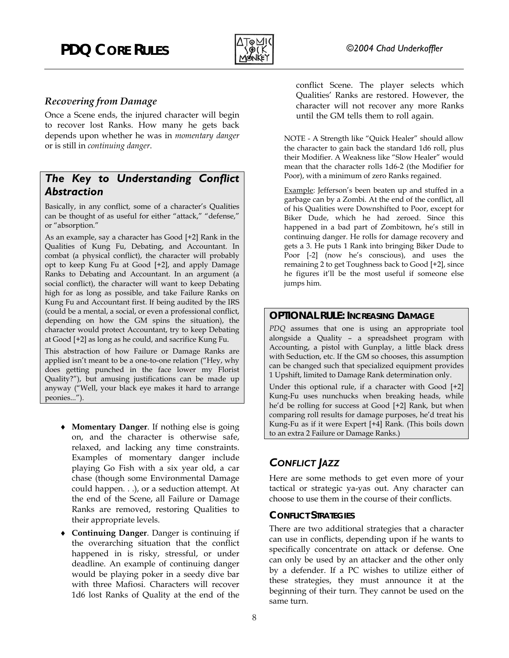

#### *Recovering from Damage*

Once a Scene ends, the injured character will begin to recover lost Ranks. How many he gets back depends upon whether he was in *momentary danger* or is still in *continuing danger*.

### *The Key to Understanding Conflict Abstraction*

Basically, in any conflict, some of a character's Qualities can be thought of as useful for either "attack," "defense," or "absorption."

As an example, say a character has Good [+2] Rank in the Qualities of Kung Fu, Debating, and Accountant. In combat (a physical conflict), the character will probably opt to keep Kung Fu at Good [+2], and apply Damage Ranks to Debating and Accountant. In an argument (a social conflict), the character will want to keep Debating high for as long as possible, and take Failure Ranks on Kung Fu and Accountant first. If being audited by the IRS (could be a mental, a social, or even a professional conflict, depending on how the GM spins the situation), the character would protect Accountant, try to keep Debating at Good [+2] as long as he could, and sacrifice Kung Fu.

This abstraction of how Failure or Damage Ranks are applied isn't meant to be a one-to-one relation ("Hey, why does getting punched in the face lower my Florist Quality?"), but amusing justifications can be made up anyway ("Well, your black eye makes it hard to arrange peonies...").

- ♦ **Momentary Danger**. If nothing else is going on, and the character is otherwise safe, relaxed, and lacking any time constraints. Examples of momentary danger include playing Go Fish with a six year old, a car chase (though some Environmental Damage could happen. . .), or a seduction attempt. At the end of the Scene, all Failure or Damage Ranks are removed, restoring Qualities to their appropriate levels.
- ♦ **Continuing Danger**. Danger is continuing if the overarching situation that the conflict happened in is risky, stressful, or under deadline. An example of continuing danger would be playing poker in a seedy dive bar with three Mafiosi. Characters will recover 1d6 lost Ranks of Quality at the end of the

conflict Scene. The player selects which Qualities' Ranks are restored. However, the character will not recover any more Ranks until the GM tells them to roll again.

NOTE - A Strength like "Quick Healer" should allow the character to gain back the standard 1d6 roll, plus their Modifier. A Weakness like "Slow Healer" would mean that the character rolls 1d6-2 (the Modifier for Poor), with a minimum of zero Ranks regained.

Example: Jefferson's been beaten up and stuffed in a garbage can by a Zombi. At the end of the conflict, all of his Qualities were Downshifted to Poor, except for Biker Dude, which he had zeroed. Since this happened in a bad part of Zombitown, he's still in continuing danger. He rolls for damage recovery and gets a 3. He puts 1 Rank into bringing Biker Dude to Poor [-2] (now he's conscious), and uses the remaining 2 to get Toughness back to Good [+2], since he figures it'll be the most useful if someone else jumps him.

#### **OPTIONAL RULE: INCREASING DAMAGE**

*PDQ* assumes that one is using an appropriate tool alongside a Quality – a spreadsheet program with Accounting, a pistol with Gunplay, a little black dress with Seduction, etc. If the GM so chooses, this assumption can be changed such that specialized equipment provides 1 Upshift, limited to Damage Rank determination only.

Under this optional rule, if a character with Good [+2] Kung-Fu uses nunchucks when breaking heads, while he'd be rolling for success at Good [+2] Rank, but when comparing roll results for damage purposes, he'd treat his Kung-Fu as if it were Expert [+4] Rank. (This boils down to an extra 2 Failure or Damage Ranks.)

### *CONFLICT JAZZ*

Here are some methods to get even more of your tactical or strategic ya-yas out. Any character can choose to use them in the course of their conflicts.

#### **CONFLICT STRATEGIES**

There are two additional strategies that a character can use in conflicts, depending upon if he wants to specifically concentrate on attack or defense. One can only be used by an attacker and the other only by a defender. If a PC wishes to utilize either of these strategies, they must announce it at the beginning of their turn. They cannot be used on the same turn.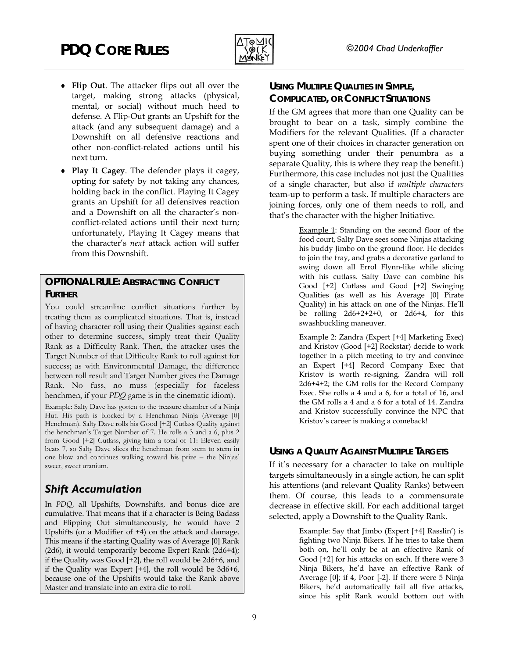

- ♦ **USING MULTIPLE QUALITIES IN SIMPLE, Flip Out**. The attacker flips out all over the target, making strong attacks (physical, mental, or social) without much heed to defense. A Flip-Out grants an Upshift for the attack (and any subsequent damage) and a Downshift on all defensive reactions and other non-conflict-related actions until his next turn.
- **Play It Cagey**. The defender plays it cagey, ♦ opting for safety by not taking any chances, holding back in the conflict. Playing It Cagey grants an Upshift for all defensives reaction and a Downshift on all the character's nonconflict-related actions until their next turn; unfortunately, Playing It Cagey means that the character's *next* attack action will suffer from this Downshift.

#### **OPTIONAL RULE: ABSTRACTING CONFLICT FURTHER**

You could streamline conflict situations further by treating them as complicated situations. That is, instead of having character roll using their Qualities against each other to determine success, simply treat their Quality Rank as a Difficulty Rank. Then, the attacker uses the Target Number of that Difficulty Rank to roll against for success; as with Environmental Damage, the difference between roll result and Target Number gives the Damage Rank. No fuss, no muss (especially for faceless henchmen, if your *PDQ* game is in the cinematic idiom).

Example: Salty Dave has gotten to the treasure chamber of a Ninja Hut. His path is blocked by a Henchman Ninja (Average [0] Henchman). Salty Dave rolls his Good [+2] Cutlass Quality against the henchman's Target Number of 7. He rolls a 3 and a 6, plus 2 from Good [+2] Cutlass, giving him a total of 11: Eleven easily beats 7, so Salty Dave slices the henchman from stem to stern in one blow and continues walking toward his prize – the Ninjas' sweet, sweet uranium.

### *Shift Accumulation*

In *PDQ*, all Upshifts, Downshifts, and bonus dice are cumulative. That means that if a character is Being Badass and Flipping Out simultaneously, he would have 2 Upshifts (or a Modifier of +4) on the attack and damage. This means if the starting Quality was of Average [0] Rank (2d6), it would temporarily become Expert Rank (2d6+4); if the Quality was Good [+2], the roll would be 2d6+6, and if the Quality was Expert [+4], the roll would be 3d6+6, because one of the Upshifts would take the Rank above Master and translate into an extra die to roll.

# **COMPLICATED, OR CONFLICT SITUATIONS**

If the GM agrees that more than one Quality can be brought to bear on a task, simply combine the Modifiers for the relevant Qualities. (If a character spent one of their choices in character generation on buying something under their penumbra as a separate Quality, this is where they reap the benefit.) Furthermore, this case includes not just the Qualities of a single character, but also if *multiple characters* team-up to perform a task. If multiple characters are joining forces, only one of them needs to roll, and that's the character with the higher Initiative.

> Example 1: Standing on the second floor of the food court, Salty Dave sees some Ninjas attacking his buddy Jimbo on the ground floor. He decides to join the fray, and grabs a decorative garland to swing down all Errol Flynn-like while slicing with his cutlass. Salty Dave can combine his Good [+2] Cutlass and Good [+2] Swinging Qualities (as well as his Average [0] Pirate Quality) in his attack on one of the Ninjas. He'll be rolling  $2d6+2+2+0$ , or  $2d6+4$ , for this swashbuckling maneuver.

> Example 2: Zandra (Expert [+4] Marketing Exec) and Kristov (Good [+2] Rockstar) decide to work together in a pitch meeting to try and convince an Expert [+4] Record Company Exec that Kristov is worth re-signing. Zandra will roll 2d6+4+2; the GM rolls for the Record Company Exec. She rolls a 4 and a 6, for a total of 16, and the GM rolls a 4 and a 6 for a total of 14. Zandra and Kristov successfully convince the NPC that Kristov's career is making a comeback!

### **USING A QUALITY AGAINST MULTIPLE TARGETS**

If it's necessary for a character to take on multiple targets simultaneously in a single action, he can split his attentions (and relevant Quality Ranks) between them. Of course, this leads to a commensurate decrease in effective skill. For each additional target selected, apply a Downshift to the Quality Rank.

> Example: Say that Jimbo (Expert [+4] Rasslin') is fighting two Ninja Bikers. If he tries to take them both on, he'll only be at an effective Rank of Good [+2] for his attacks on each. If there were 3 Ninja Bikers, he'd have an effective Rank of Average [0]; if 4, Poor [-2]. If there were 5 Ninja Bikers, he'd automatically fail all five attacks, since his split Rank would bottom out with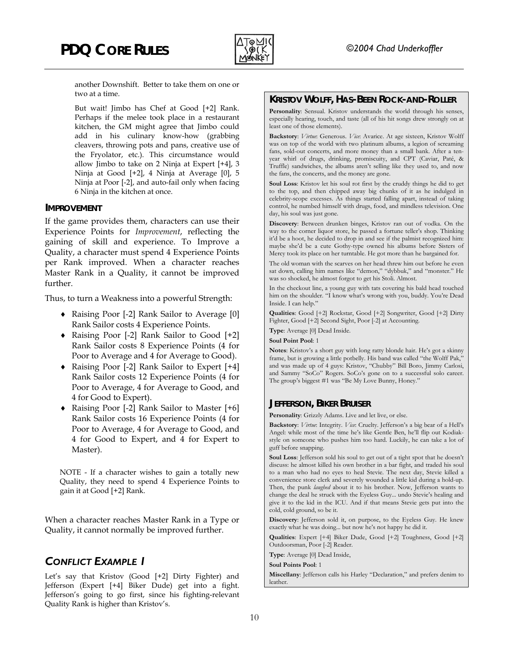

another Downshift. Better to take them on one or

But wait! Jimbo has Chef at Good [+2] Rank. Perhaps if the melee took place in a restaurant kitchen, the GM might agree that Jimbo could add in his culinary know-how (grabbing cleavers, throwing pots and pans, creative use of the Fryolator, etc.). This circumstance would allow Jimbo to take on 2 Ninja at Expert [+4], 3 Ninja at Good [+2], 4 Ninja at Average [0], 5 Ninja at Poor [-2], and auto-fail only when facing 6 Ninja in the kitchen at once.

If the game provides them, characters can use their Experience Points for *Improvement*, reflecting the gaining of skill and experience. To Improve a Quality, a character must spend 4 Experience Points per Rank improved. When a character reaches Master Rank in a Quality, it cannot be improved further.

Thus, to turn a Weakness into a powerful Strength:<br>
Inside. I can help."

- Raising Poor [-2] Rank Sailor to Average [0] ♦ Rank Sailor costs 4 Experience Points.
- ◆ Raising Poor [-2] Rank Sailor to Good [+2] Type: Average [0] Dead Inside. Rank Sailor costs 8 Experience Points (4 for Poor to Average and 4 for Average to Good).
- ♦ Raising Poor [-2] Rank Sailor to Expert [+4] Rank Sailor costs 12 Experience Points (4 for Poor to Average, 4 for Average to Good, and
- 4 for Good to Expert). <br>◆ Raising Poor [-2] Rank Sailor to Master [+6] **JEFFERSON, BIKER BRUISER** Rank Sailor costs 16 Experience Points (4 for Poor to Average, 4 for Average to Good, and 4 for Good to Expert, and 4 for Expert to Master).

NOTE - If a character wishes to gain a totally new Quality, they need to spend 4 Experience Points to gain it at Good [+2] Rank.

When a character reaches Master Rank in a Type or Quality, it cannot normally be improved further.

### **CONFLICT EXAMPLE 1 Soul Points Pool:** 1

Let's say that Kristov (Good [+2] Dirty Fighter) and  $\begin{array}{c|c}\n\hline\n\text{Miscel} \\
\text{leather}\n\end{array}$ Jefferson (Expert [+4] Biker Dude) get into a fight. Jefferson's going to go first, since his fighting-relevant Quality Rank is higher than Kristov's.

### two at a time. **KRISTOV WOLFF, HAS-BEEN ROCK-AND-ROLLER**

**Personality**: Sensual. Kristov understands the world through his senses, especially hearing, touch, and taste (all of his hit songs drew strongly on at least one of those elements).

**Backstory**: *Virtue*: Generous. *Vice*: Avarice. At age sixteen, Kristov Wolff was on top of the world with two platinum albums, a legion of screaming fans, sold-out concerts, and more money than a small bank. After a tenyear whirl of drugs, drinking, promiscuity, and CPT (Caviar, Paté, & Truffle) sandwiches, the albums aren't selling like they used to, and now the fans, the concerts, and the money are gone.

**Soul Loss**: Kristov let his soul rot first by the cruddy things he did to get to the top, and then chipped away big chunks of it as he indulged in celebrity-scope excesses. As things started falling apart, instead of taking control, he numbed himself with drugs, food, and mindless television. One **IMPROVEMENT**<br>day, his soul was just gone.

> **Discovery**: Between drunken binges, Kristov ran out of vodka. On the way to the corner liquor store, he passed a fortune teller's shop. Thinking it'd be a hoot, he decided to drop in and see if the palmist recognized him: maybe she'd be a cute Gothy-type owned his albums before Sisters of Mercy took its place on her turntable. He got more than he bargained for.

> The old woman with the scarves on her head threw him out before he even sat down, calling him names like "demon," "dybbuk," and "monster." He was so shocked, he almost forgot to get his Stoli. Almost.

> In the checkout line, a young guy with tats covering his bald head touched him on the shoulder. "I know what's wrong with you, buddy. You're Dead

> **Qualities**: Good [+2] Rockstar, Good [+2] Songwriter, Good [+2] Dirty Fighter, Good [+2] Second Sight, Poor [-2] at Accounting.

**Soul Point Pool**: 1

**Notes**: Kristov's a short guy with long ratty blonde hair. He's got a skinny frame, but is growing a little potbelly. His band was called "the Wolff Pak," and was made up of 4 guys: Kristov, "Chubby" Bill Boro, Jimmy Carlosi, and Sammy "SoCo" Rogers. SoCo's gone on to a successful solo career. The group's biggest #1 was "Be My Love Bunny, Honey."

**Personality**: Grizzly Adams. Live and let live, or else.

**Backstory**: *Virtue*: Integrity. *Vice*: Cruelty. Jefferson's a big bear of a Hell's Angel: while most of the time he's like Gentle Ben, he'll flip out Kodiakstyle on someone who pushes him too hard. Luckily, he can take a lot of guff before snapping.

**Soul Loss**: Jefferson sold his soul to get out of a tight spot that he doesn't discuss: he almost killed his own brother in a bar fight, and traded his soul to a man who had no eyes to heal Stevie. The next day, Stevie killed a convenience store clerk and severely wounded a little kid during a hold-up. Then, the punk *laughed* about it to his brother. Now, Jefferson wants to change the deal he struck with the Eyeless Guy... undo Stevie's healing and give it to the kid in the ICU. And if that means Stevie gets put into the cold, cold ground, so be it.

**Discovery**: Jefferson sold it, on purpose, to the Eyeless Guy. He knew exactly what he was doing... but now he's not happy he did it.

**Qualities**: Expert [+4] Biker Dude, Good [+2] Toughness, Good [+2] Outdoorsman, Poor [-2] Reader.

**Type**: Average [0] Dead Inside,

**Miscellany**: Jefferson calls his Harley "Declaration," and prefers denim to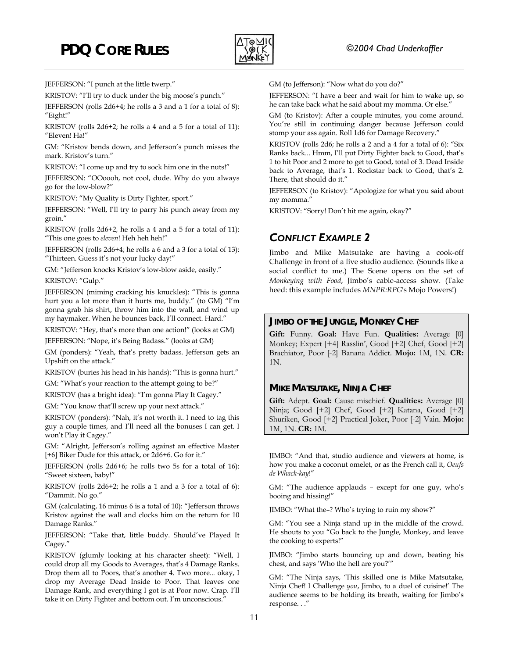

KRISTOV: "I'll try to duck under the big moose's punch."

JEFFERSON (rolls 2d6+4; he rolls a 3 and a 1 for a total of 8): "Eight!" GM (to Kristov): After a couple minutes, you come around.

KRISTOV (rolls 2d6+2; he rolls a 4 and a 5 for a total of 11):<br>"Eleven! Ha!" Stomp your ass again. Roll 1d6 for Damage Recovery." "Eleven! Ha!"

GM: "Kristov bends down, and Jefferson's punch misses the mark. Kristov's turn."

KRISTOV: "I come up and try to sock him one in the nuts!"

JEFFERSON: "OOoooh, not cool, dude. Why do you always go for the low-blow?" JEFFERSON (to Kristov): "Apologize for what you said about

KRISTOV: "My Quality is Dirty Fighter, sport." my momma."

JEFFERSON: "Well, I'll try to parry his punch away from my groin."

KRISTOV (rolls 2d6+2, he rolls a 4 and a 5 for a total of 11): "This one goes to *eleven*! Heh heh heh!" *CONFLICT EXAMPLE 2* 

JEFFERSON (rolls 2d6+4; he rolls a 6 and a 3 for a total of 13): JEFFERSON (rolls 200+4; he rolls a 6 and a 3 for a total of 13):<br>Thirteen. Guess it's not your lucky day!"<br>Challenge in front of a live studio audience (Sounds like a

GM: "Jefferson knocks Kristov's low-blow aside, easily."

KRISTOV: "Gulp."

JEFFERSON (miming cracking his knuckles): "This is gonna hurt you a lot more than it hurts me, buddy." (to GM) "I'm gonna grab his shirt, throw him into the wall, and wind up my haymaker. When he bounces back, I'll connect. Hard."<br> **JIMBO OF THE JUNGLE, MONKEY CHEF**<br> **City E** Carly II

JEFFERSON: "Nope, it's Being Badass." (looks at GM)

GM (ponders): "Yeah, that's pretty badass. Jefferson gets an Upshift on the attack."

KRISTOV (buries his head in his hands): "This is gonna hurt."

GM: "What's your reaction to the attempt going to be?" **MIKE MATSUTAKE, NINJA CHEF**<br>**KRISTOV** (has a bright idea): "I'm gonna Play It Cagey."

GM: "You know that'll screw up your next attack."

KRISTOV (ponders): "Nah, it's not worth it. I need to tag this guy a couple times, and I'll need all the bonuses I can get. I won't Play it Cagey."

GM: "Alright, Jefferson's rolling against an effective Master [+6] Biker Dude for this attack, or 2d6+6. Go for it." JIMBO: "And that, studio audience and viewers at home, is

JEFFERSON (rolls 2d6+6; he rolls two 5s for a total of 16): "Sweet sixteen, baby!"

KRISTOV (rolls 2d6+2; he rolls a 1 and a 3 for a total of 6): "Dammit. No go."

GM (calculating, 16 minus 6 is a total of 10): "Jefferson throws Kristov against the wall and clocks him on the return for 10 Damage Ranks."

JEFFERSON: "Take that, little buddy. Should've Played It He should to you "Go the cooking to experts!" Cagey."

KRISTOV (glumly looking at his character sheet): "Well, I could drop all my Goods to Averages, that's 4 Damage Ranks. Drop them all to Poors, that's another 4. Two more... okay, I drop my Average Dead Inside to Poor. That leaves one Damage Rank, and everything I got is at Poor now. Crap. I'll take it on Dirty Fighter and bottom out. I'm unconscious."

JEFFERSON: "I punch at the little twerp." GM (to Jefferson): "Now what do you do?"

JEFFERSON: "I have a beer and wait for him to wake up, so he can take back what he said about my momma. Or else."

You're still in continuing danger because Jefferson could

KRISTOV (rolls 2d6; he rolls a 2 and a 4 for a total of 6): "Six Ranks back... Hmm, I'll put Dirty Fighter back to Good, that's 1 to hit Poor and 2 more to get to Good, total of 3. Dead Inside back to Average, that's 1. Rockstar back to Good, that's 2. There, that should do it."

KRISTOV: "Sorry! Don't hit me again, okay?"

Challenge in front of a live studio audience. (Sounds like a social conflict to me.) The Scene opens on the set of *Monkeying with Food*, Jimbo's cable-access show. (Take heed: this example includes *MNPR:RPG*'s Mojo Powers!)

Gift: Funny. Goal: Have Fun. Qualities: Average [0] Monkey; Expert [+4] Rasslin', Good [+2] Chef, Good [+2] Brachiator, Poor [-2] Banana Addict. **Mojo:** 1M, 1N. **CR:** 1N.

Gift: Adept. Goal: Cause mischief. Qualities: Average [0] Ninja; Good [+2] Chef, Good [+2] Katana, Good [+2] Shuriken, Good [+2] Practical Joker, Poor [-2] Vain. **Mojo:** 1M, 1N. **CR:** 1M.

how you make a coconut omelet, or as the French call it, *Oeufs de Whack-kay*!"

GM: "The audience applauds – except for one guy, who's booing and hissing!"

JIMBO: "What the–? Who's trying to ruin my show?"

GM: "You see a Ninja stand up in the middle of the crowd. He shouts to you "Go back to the Jungle, Monkey, and leave

JIMBO: "Jimbo starts bouncing up and down, beating his chest, and says 'Who the hell are you?'"

GM: "The Ninja says, 'This skilled one is Mike Matsutake, Ninja Chef! I Challenge *you*, Jimbo, to a duel of cuisine!' The audience seems to be holding its breath, waiting for Jimbo's response. . ."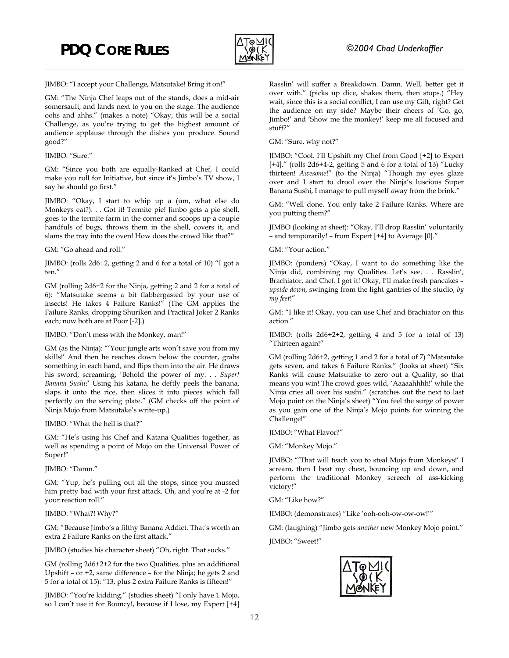

JIMBO: "I accept your Challenge, Matsutake! Bring it on!"

GM: "The Ninja Chef leaps out of the stands, does a mid-air somersault, and lands next to you on the stage. The audience oohs and ahhs." (makes a note) "Okay, this will be a social Challenge, as you're trying to get the highest amount of audience applause through the dishes you produce. Sound good?"

#### JIMBO: "Sure."

GM: "Since you both are equally-Ranked at Chef, I could make you roll for Initiative, but since it's Jimbo's TV show, I say he should go first."

JIMBO: "Okay, I start to whip up a (um, what else do Monkeys eat?). . . Got it! Termite pie! Jimbo gets a pie shell, goes to the termite farm in the corner and scoops up a couple handfuls of bugs, throws them in the shell, covers it, and slams the tray into the oven! How does the crowd like that?"

GM: "Go ahead and roll."

JIMBO: (rolls 2d6+2, getting 2 and 6 for a total of 10) "I got a ten."

GM (rolling 2d6+2 for the Ninja, getting 2 and 2 for a total of 6): "Matsutake seems a bit flabbergasted by your use of insects! He takes 4 Failure Ranks!" (The GM applies the Failure Ranks, dropping Shuriken and Practical Joker 2 Ranks each; now both are at Poor [-2].)

JIMBO: "Don't mess with the Monkey, man!"

GM (as the Ninja): "'Your jungle arts won't save you from my skills!' And then he reaches down below the counter, grabs something in each hand, and flips them into the air. He draws his sword, screaming, 'Behold the power of my. . . *Super! Banana Sushi!*' Using his katana, he deftly peels the banana, slaps it onto the rice, then slices it into pieces which fall perfectly on the serving plate." (GM checks off the point of Ninja Mojo from Matsutake's write-up.)

JIMBO: "What the hell is that?"

GM: "He's using his Chef and Katana Qualities together, as well as spending a point of Mojo on the Universal Power of Super!"

JIMBO: "Damn."

GM: "Yup, he's pulling out all the stops, since you mussed him pretty bad with your first attack. Oh, and you're at -2 for your reaction roll."

JIMBO: "What?! Why?"

GM: "Because Jimbo's a filthy Banana Addict. That's worth an extra 2 Failure Ranks on the first attack."

JIMBO (studies his character sheet) "Oh, right. That sucks."

GM (rolling 2d6+2+2 for the two Qualities, plus an additional Upshift – or +2, same difference – for the Ninja; he gets 2 and 5 for a total of 15): "13, plus 2 extra Failure Ranks is fifteen!"

JIMBO: "You're kidding." (studies sheet) "I only have 1 Mojo, so I can't use it for Bouncy!, because if I lose, my Expert [+4] Rasslin' will suffer a Breakdown. Damn. Well, better get it over with." (picks up dice, shakes them, then stops.) "Hey wait, since this is a social conflict, I can use my Gift, right? Get the audience on my side? Maybe their cheers of 'Go, go, Jimbo!' and 'Show me the monkey!' keep me all focused and stuff?"

GM: "Sure, why not?"

JIMBO: "Cool. I'll Upshift my Chef from Good [+2] to Expert [+4]." (rolls 2d6+4-2, getting 5 and 6 for a total of 13) "Lucky thirteen! *Awesome*!" (to the Ninja) "Though my eyes glaze over and I start to drool over the Ninja's luscious Super Banana Sushi, I manage to pull myself away from the brink."

GM: "Well done. You only take 2 Failure Ranks. Where are you putting them?"

JIMBO (looking at sheet): "Okay, I'll drop Rasslin' voluntarily – and temporarily! – from Expert [+4] to Average [0]."

GM: "Your action."

JIMBO: (ponders) "Okay, I want to do something like the Ninja did, combining my Qualities. Let's see. . . Rasslin', Brachiator, and Chef. I got it! Okay, I'll make fresh pancakes – *upside down*, swinging from the light gantries of the studio, *by my feet*!"

GM: "I like it! Okay, you can use Chef and Brachiator on this action."

JIMBO: (rolls 2d6+2+2, getting 4 and 5 for a total of 13) "Thirteen again!"

GM (rolling 2d6+2, getting 1 and 2 for a total of 7) "Matsutake gets seven, and takes 6 Failure Ranks." (looks at sheet) "Six Ranks will cause Matsutake to zero out a Quality, so that means you win! The crowd goes wild, 'Aaaaahhhh!' while the Ninja cries all over his sushi." (scratches out the next to last Mojo point on the Ninja's sheet) "You feel the surge of power as you gain one of the Ninja's Mojo points for winning the Challenge!"

JIMBO: "What Flavor?"

GM: "Monkey Mojo."

JIMBO: "'That will teach you to steal Mojo from Monkeys!' I scream, then I beat my chest, bouncing up and down, and perform the traditional Monkey screech of ass-kicking victory!"

GM: "Like how?"

JIMBO: (demonstrates) "Like 'ooh-ooh-ow-ow-ow!'"

GM: (laughing) "Jimbo gets *another* new Monkey Mojo point."

JIMBO: "Sweet!"